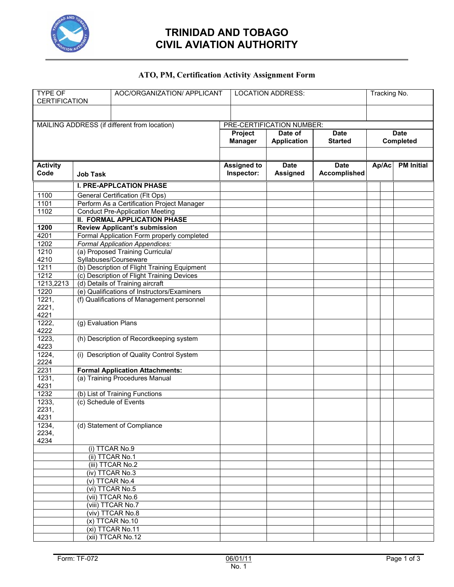

## **TRINIDAD AND TOBAGO CIVIL AVIATION AUTHORITY**

#### **ATO, PM, Certification Activity Assignment Form**

| <b>TYPE OF</b><br><b>CERTIFICATION</b>       |                      | AOC/ORGANIZATION/ APPLICANT                  |                           | <b>LOCATION ADDRESS:</b> |                    |                     | Tracking No. |             |                   |
|----------------------------------------------|----------------------|----------------------------------------------|---------------------------|--------------------------|--------------------|---------------------|--------------|-------------|-------------------|
|                                              |                      |                                              |                           |                          |                    |                     |              |             |                   |
| MAILING ADDRESS (if different from location) |                      |                                              | PRE-CERTIFICATION NUMBER: |                          |                    |                     |              |             |                   |
|                                              |                      |                                              | Date of<br>Project        |                          | <b>Date</b>        |                     |              | <b>Date</b> |                   |
|                                              |                      |                                              | <b>Manager</b>            |                          | <b>Application</b> | <b>Started</b>      | Completed    |             |                   |
|                                              |                      |                                              |                           |                          |                    |                     |              |             |                   |
| <b>Activity</b>                              |                      |                                              | <b>Assigned to</b>        |                          | Date               | <b>Date</b>         | Ap/Ac        |             | <b>PM Initial</b> |
| Code                                         | <b>Job Task</b>      |                                              | Inspector:                |                          | <b>Assigned</b>    | <b>Accomplished</b> |              |             |                   |
|                                              |                      | <b>I. PRE-APPLCATION PHASE</b>               |                           |                          |                    |                     |              |             |                   |
| 1100                                         |                      | General Certification (Flt Ops)              |                           |                          |                    |                     |              |             |                   |
| 1101                                         |                      | Perform As a Certification Project Manager   |                           |                          |                    |                     |              |             |                   |
| 1102                                         |                      | <b>Conduct Pre-Application Meeting</b>       |                           |                          |                    |                     |              |             |                   |
|                                              |                      | <b>II. FORMAL APPLICATION PHASE</b>          |                           |                          |                    |                     |              |             |                   |
| 1200                                         |                      | <b>Review Applicant's submission</b>         |                           |                          |                    |                     |              |             |                   |
| 4201                                         |                      | Formal Application Form properly completed   |                           |                          |                    |                     |              |             |                   |
| 1202                                         |                      | Formal Application Appendices:               |                           |                          |                    |                     |              |             |                   |
| 1210                                         |                      | (a) Proposed Training Curricula/             |                           |                          |                    |                     |              |             |                   |
| 4210                                         |                      | Syllabuses/Courseware                        |                           |                          |                    |                     |              |             |                   |
| 1211                                         |                      | (b) Description of Flight Training Equipment |                           |                          |                    |                     |              |             |                   |
| 1212                                         |                      | (c) Description of Flight Training Devices   |                           |                          |                    |                     |              |             |                   |
| 1213,2213                                    |                      | (d) Details of Training aircraft             |                           |                          |                    |                     |              |             |                   |
| 1220                                         |                      | (e) Qualifications of Instructors/Examiners  |                           |                          |                    |                     |              |             |                   |
| 1221,                                        |                      | (f) Qualifications of Management personnel   |                           |                          |                    |                     |              |             |                   |
| 2221,<br>4221                                |                      |                                              |                           |                          |                    |                     |              |             |                   |
| 1222,                                        | (g) Evaluation Plans |                                              |                           |                          |                    |                     |              |             |                   |
| 4222                                         |                      |                                              |                           |                          |                    |                     |              |             |                   |
| 1223,                                        |                      | (h) Description of Recordkeeping system      |                           |                          |                    |                     |              |             |                   |
| 4223<br>1224,                                |                      | (i) Description of Quality Control System    |                           |                          |                    |                     |              |             |                   |
| 2224                                         |                      |                                              |                           |                          |                    |                     |              |             |                   |
| 2231                                         |                      | <b>Formal Application Attachments:</b>       |                           |                          |                    |                     |              |             |                   |
| 1231,                                        |                      | (a) Training Procedures Manual               |                           |                          |                    |                     |              |             |                   |
| 4231                                         |                      |                                              |                           |                          |                    |                     |              |             |                   |
| 1232                                         |                      | (b) List of Training Functions               |                           |                          |                    |                     |              |             |                   |
| 1233,                                        |                      | (c) Schedule of Events                       |                           |                          |                    |                     |              |             |                   |
| 2231,                                        |                      |                                              |                           |                          |                    |                     |              |             |                   |
| 4231                                         |                      |                                              |                           |                          |                    |                     |              |             |                   |
| 1234,                                        |                      | (d) Statement of Compliance                  |                           |                          |                    |                     |              |             |                   |
| 2234,<br>4234                                |                      |                                              |                           |                          |                    |                     |              |             |                   |
|                                              |                      | (i) TTCAR No.9                               |                           |                          |                    |                     |              |             |                   |
|                                              |                      | (ii) TTCAR No.1                              |                           |                          |                    |                     |              |             |                   |
|                                              |                      | (iii) TTCAR No.2                             |                           |                          |                    |                     |              |             |                   |
|                                              |                      | (iv) TTCAR No.3                              |                           |                          |                    |                     |              |             |                   |
|                                              |                      | (v) TTCAR No.4                               |                           |                          |                    |                     |              |             |                   |
|                                              |                      | (vi) TTCAR No.5                              |                           |                          |                    |                     |              |             |                   |
|                                              |                      | (vii) TTCAR No.6                             |                           |                          |                    |                     |              |             |                   |
|                                              |                      | (viii) TTCAR No.7                            |                           |                          |                    |                     |              |             |                   |
|                                              |                      | (viv) TTCAR No.8                             |                           |                          |                    |                     |              |             |                   |
|                                              |                      | (x) TTCAR No.10                              |                           |                          |                    |                     |              |             |                   |
|                                              |                      | (xi) TTCAR No.11                             |                           |                          |                    |                     |              |             |                   |
|                                              |                      | (xii) TTCAR No.12                            |                           |                          |                    |                     |              |             |                   |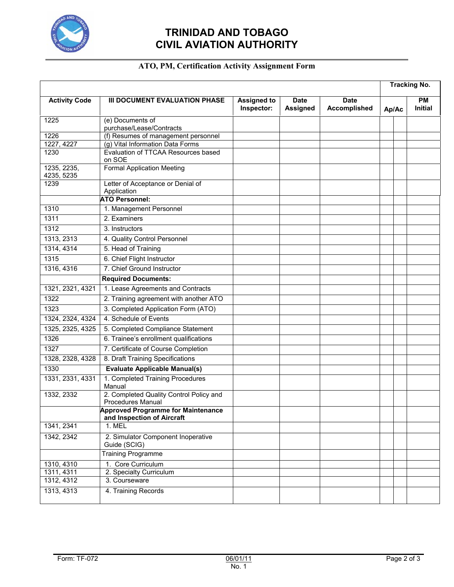

# **TRINIDAD AND TOBAGO CIVIL AVIATION AUTHORITY**

### **ATO, PM, Certification Activity Assignment Form**

|                           |                                                                         |                                  |                                |                                    |       | <b>Tracking No.</b> |                             |
|---------------------------|-------------------------------------------------------------------------|----------------------------------|--------------------------------|------------------------------------|-------|---------------------|-----------------------------|
| <b>Activity Code</b>      | III DOCUMENT EVALUATION PHASE                                           | <b>Assigned to</b><br>Inspector: | <b>Date</b><br><b>Assigned</b> | <b>Date</b><br><b>Accomplished</b> | Ap/Ac |                     | <b>PM</b><br><b>Initial</b> |
| 1225                      | (e) Documents of                                                        |                                  |                                |                                    |       |                     |                             |
|                           | purchase/Lease/Contracts                                                |                                  |                                |                                    |       |                     |                             |
| 1226<br>1227, 4227        | (f) Resumes of management personnel<br>(g) Vital Information Data Forms |                                  |                                |                                    |       |                     |                             |
| 1230                      | Evaluation of TTCAA Resources based                                     |                                  |                                |                                    |       |                     |                             |
|                           | on SOE                                                                  |                                  |                                |                                    |       |                     |                             |
| 1235, 2235,<br>4235, 5235 | <b>Formal Application Meeting</b>                                       |                                  |                                |                                    |       |                     |                             |
| 1239                      | Letter of Acceptance or Denial of                                       |                                  |                                |                                    |       |                     |                             |
|                           | Application                                                             |                                  |                                |                                    |       |                     |                             |
|                           | <b>ATO Personnel:</b>                                                   |                                  |                                |                                    |       |                     |                             |
| 1310                      | 1. Management Personnel                                                 |                                  |                                |                                    |       |                     |                             |
| 1311                      | 2. Examiners                                                            |                                  |                                |                                    |       |                     |                             |
| 1312                      | 3. Instructors                                                          |                                  |                                |                                    |       |                     |                             |
| 1313, 2313                | 4. Quality Control Personnel                                            |                                  |                                |                                    |       |                     |                             |
| 1314, 4314                | 5. Head of Training                                                     |                                  |                                |                                    |       |                     |                             |
| 1315                      | 6. Chief Flight Instructor                                              |                                  |                                |                                    |       |                     |                             |
| 1316, 4316                | 7. Chief Ground Instructor                                              |                                  |                                |                                    |       |                     |                             |
|                           | <b>Required Documents:</b>                                              |                                  |                                |                                    |       |                     |                             |
| 1321, 2321, 4321          | 1. Lease Agreements and Contracts                                       |                                  |                                |                                    |       |                     |                             |
| 1322                      | 2. Training agreement with another ATO                                  |                                  |                                |                                    |       |                     |                             |
| 1323                      | 3. Completed Application Form (ATO)                                     |                                  |                                |                                    |       |                     |                             |
| 1324, 2324, 4324          | 4. Schedule of Events                                                   |                                  |                                |                                    |       |                     |                             |
| 1325, 2325, 4325          | 5. Completed Compliance Statement                                       |                                  |                                |                                    |       |                     |                             |
| 1326                      | 6. Trainee's enrollment qualifications                                  |                                  |                                |                                    |       |                     |                             |
| 1327                      | 7. Certificate of Course Completion                                     |                                  |                                |                                    |       |                     |                             |
| 1328, 2328, 4328          | 8. Draft Training Specifications                                        |                                  |                                |                                    |       |                     |                             |
| 1330                      | <b>Evaluate Applicable Manual(s)</b>                                    |                                  |                                |                                    |       |                     |                             |
| 1331, 2331, 4331          | 1. Completed Training Procedures                                        |                                  |                                |                                    |       |                     |                             |
|                           | Manual                                                                  |                                  |                                |                                    |       |                     |                             |
| 1332, 2332                | 2. Completed Quality Control Policy and<br>Procedures Manual            |                                  |                                |                                    |       |                     |                             |
|                           | <b>Approved Programme for Maintenance</b><br>and Inspection of Aircraft |                                  |                                |                                    |       |                     |                             |
| 1341, 2341                | 1. MEL                                                                  |                                  |                                |                                    |       |                     |                             |
| 1342, 2342                | 2. Simulator Component Inoperative<br>Guide (SCIG)                      |                                  |                                |                                    |       |                     |                             |
|                           | <b>Training Programme</b>                                               |                                  |                                |                                    |       |                     |                             |
| 1310, 4310                | 1. Core Curriculum                                                      |                                  |                                |                                    |       |                     |                             |
| 1311, 4311                | 2. Specialty Curriculum                                                 |                                  |                                |                                    |       |                     |                             |
| 1312, 4312                | 3. Courseware                                                           |                                  |                                |                                    |       |                     |                             |
| 1313, 4313                | 4. Training Records                                                     |                                  |                                |                                    |       |                     |                             |
|                           |                                                                         |                                  |                                |                                    |       |                     |                             |